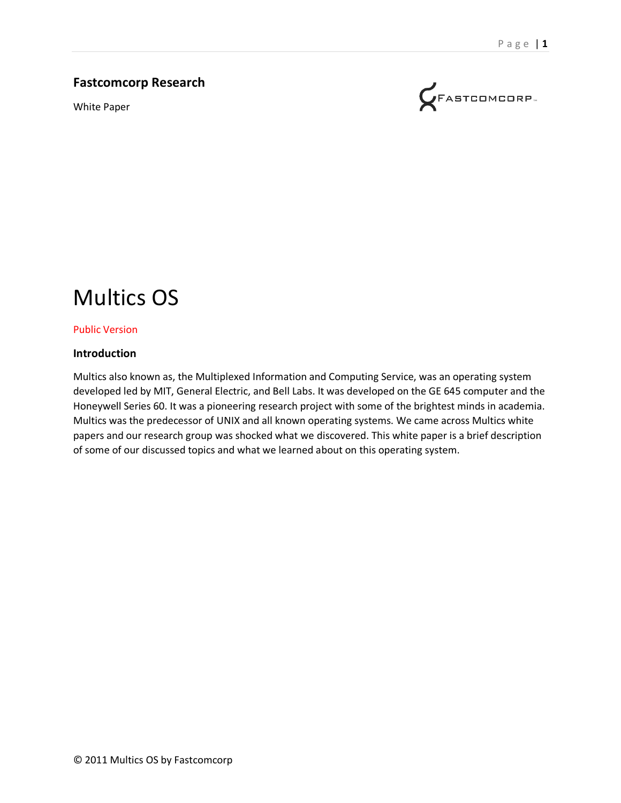#### **Fastcomcorp Research**

White Paper



# Multics OS

#### Public Version

#### **Introduction**

Multics also known as, the Multiplexed Information and Computing Service, was an operating system developed led by MIT, General Electric, and Bell Labs. It was developed on the GE 645 computer and the Honeywell Series 60. It was a pioneering research project with some of the brightest minds in academia. Multics was the predecessor of UNIX and all known operating systems. We came across Multics white papers and our research group was shocked what we discovered. This white paper is a brief description of some of our discussed topics and what we learned about on this operating system.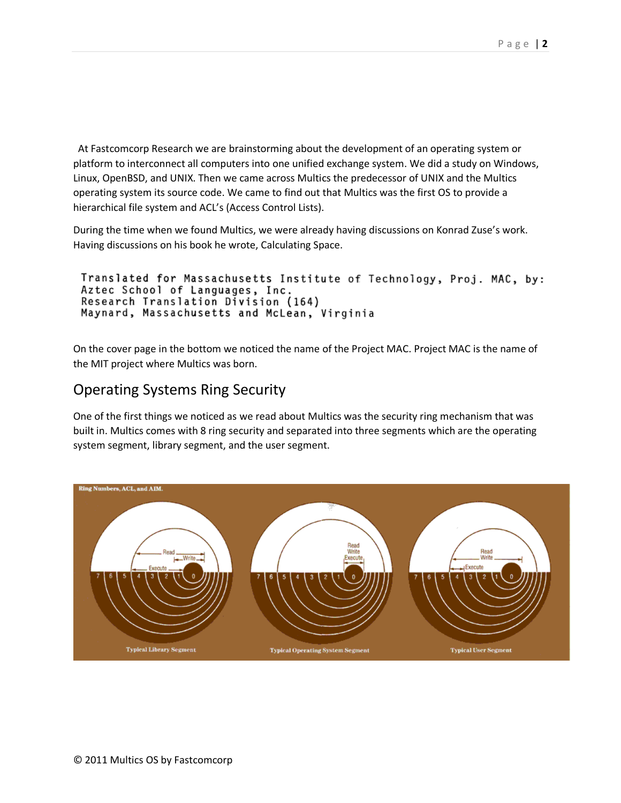At Fastcomcorp Research we are brainstorming about the development of an operating system or platform to interconnect all computers into one unified exchange system. We did a study on Windows, Linux, OpenBSD, and UNIX. Then we came across Multics the predecessor of UNIX and the Multics operating system its source code. We came to find out that Multics was the first OS to provide a hierarchical file system and ACL's (Access Control Lists).

During the time when we found Multics, we were already having discussions on Konrad Zuse's work. Having discussions on his book he wrote, Calculating Space.

```
Translated for Massachusetts Institute of Technology, Proj. MAC, by:
Aztec School of Languages, Inc.
Research Translation Division (164)
Maynard, Massachusetts and McLean, Virginia
```
On the cover page in the bottom we noticed the name of the Project MAC. Project MAC is the name of the MIT project where Multics was born.

#### Operating Systems Ring Security

One of the first things we noticed as we read about Multics was the security ring mechanism that was built in. Multics comes with 8 ring security and separated into three segments which are the operating system segment, library segment, and the user segment.

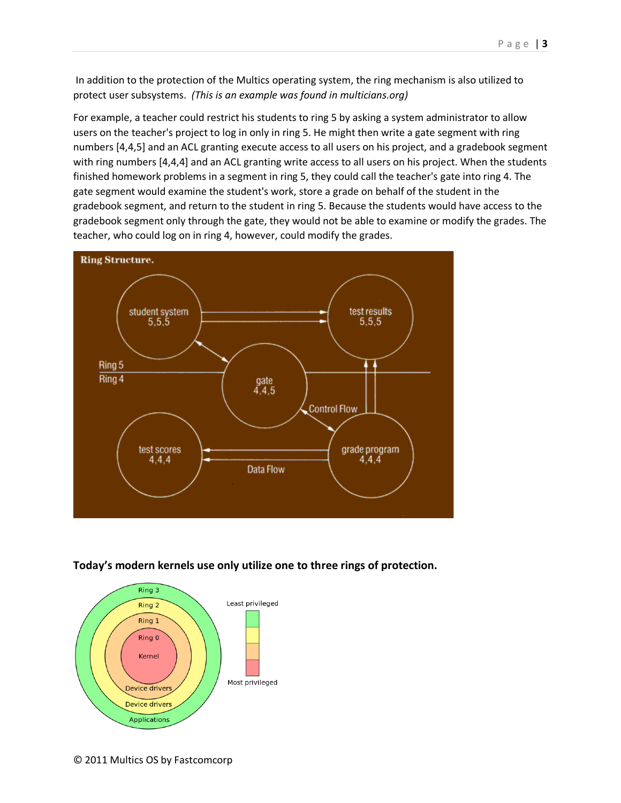In addition to the protection of the Multics operating system, the ring mechanism is also utilized to protect user subsystems. *(This is an example was found in multicians.org)*

For example, a teacher could restrict his students to ring 5 by asking a system administrator to allow users on the teacher's project to log in only in ring 5. He might then write a gate segment with ring numbers [4,4,5] and an ACL granting execute access to all users on his project, and a gradebook segment with ring numbers [4,4,4] and an ACL granting write access to all users on his project. When the students finished homework problems in a segment in ring 5, they could call the teacher's gate into ring 4. The gate segment would examine the student's work, store a grade on behalf of the student in the gradebook segment, and return to the student in ring 5. Because the students would have access to the gradebook segment only through the gate, they would not be able to examine or modify the grades. The teacher, who could log on in ring 4, however, could modify the grades.



#### **Today's modern kernels use only utilize one to three rings of protection.**

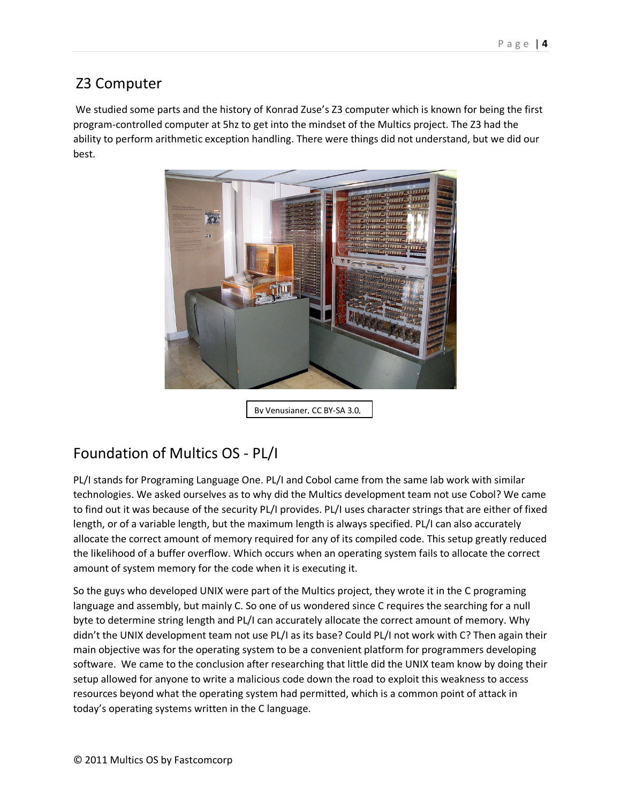# Z3 Computer

We studied some parts and the history of Konrad Zuse's Z3 computer which is known for being the first program-controlled computer at 5hz to get into the mindset of the Multics project. The Z3 had the ability to perform arithmetic exception handling. There were things did not understand, but we did our best.



By Venusianer, CC BY-SA 3.0,

# Foundation of Multics OS - PL/I

PL/I stands for Programing Language One. PL/I and Cobol came from the same lab work with similar technologies. We asked ourselves as to why did the Multics development team not use Cobol? We came to find out it was because of the security PL/I provides. PL/I uses character strings that are either of fixed length, or of a variable length, but the maximum length is always specified. PL/I can also accurately allocate the correct amount of memory required for any of its compiled code. This setup greatly reduced the likelihood of a buffer overflow. Which occurs when an operating system fails to allocate the correct amount of system memory for the code when it is executing it.

So the guys who developed UNIX were part of the Multics project, they wrote it in the C programing language and assembly, but mainly C. So one of us wondered since C requires the searching for a null byte to determine string length and PL/I can accurately allocate the correct amount of memory. Why didn't the UNIX development team not use PL/I as its base? Could PL/I not work with C? Then again their main objective was for the operating system to be a convenient platform for programmers developing software. We came to the conclusion after researching that little did the UNIX team know by doing their setup allowed for anyone to write a malicious code down the road to exploit this weakness to access resources beyond what the operating system had permitted, which is a common point of attack in today's operating systems written in the C language.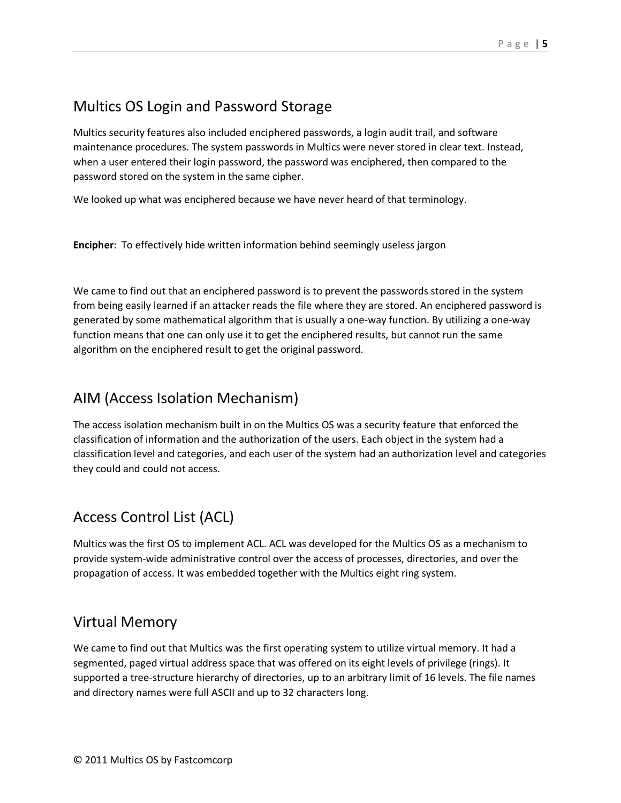### Multics OS Login and Password Storage

Multics security features also included enciphered passwords, a login audit trail, and software maintenance procedures. The system passwords in Multics were never stored in clear text. Instead, when a user entered their login password, the password was enciphered, then compared to the password stored on the system in the same cipher.

We looked up what was enciphered because we have never heard of that terminology.

**Encipher**: To effectively hide written information behind seemingly useless jargon

We came to find out that an enciphered password is to prevent the passwords stored in the system from being easily learned if an attacker reads the file where they are stored. An enciphered password is generated by some mathematical algorithm that is usually a one-way function. By utilizing a one-way function means that one can only use it to get the enciphered results, but cannot run the same algorithm on the enciphered result to get the original password.

### AIM (Access Isolation Mechanism)

The access isolation mechanism built in on the Multics OS was a security feature that enforced the classification of information and the authorization of the users. Each object in the system had a classification level and categories, and each user of the system had an authorization level and categories they could and could not access.

# Access Control List (ACL)

Multics was the first OS to implement ACL. ACL was developed for the Multics OS as a mechanism to provide system-wide administrative control over the access of processes, directories, and over the propagation of access. It was embedded together with the Multics eight ring system.

### Virtual Memory

We came to find out that Multics was the first operating system to utilize virtual memory. It had a segmented, paged virtual address space that was offered on its eight levels of privilege (rings). It supported a tree-structure hierarchy of directories, up to an arbitrary limit of 16 levels. The file names and directory names were full ASCII and up to 32 characters long.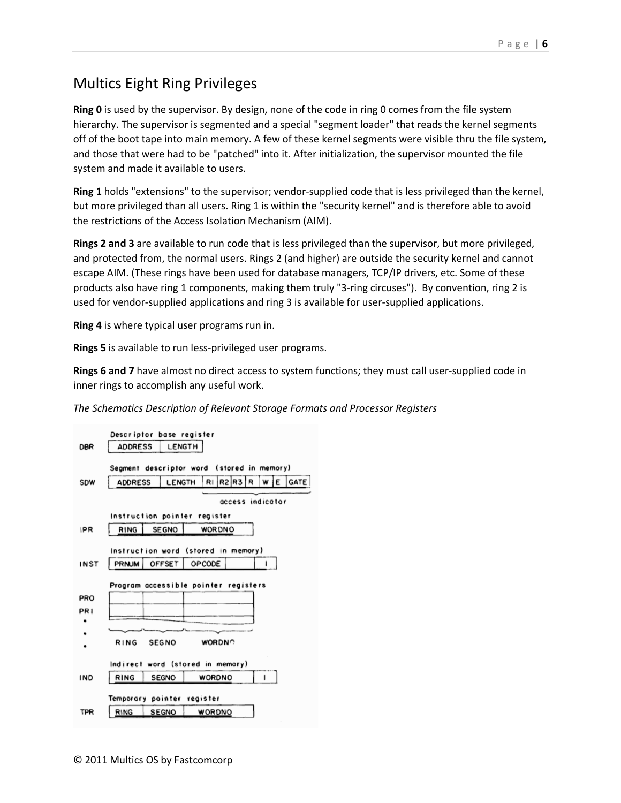# Multics Eight Ring Privileges

**Ring 0** is used by the supervisor. By design, none of the code in ring 0 comes from the file system hierarchy. The supervisor is segmented and a special "segment loader" that reads the kernel segments off of the boot tape into main memory. A few of these kernel segments were visible thru the file system, and those that were had to be "patched" into it. After initialization, the supervisor mounted the file system and made it available to users.

**Ring 1** holds "extensions" to the supervisor; vendor-supplied code that is less privileged than the kernel, but more privileged than all users. Ring 1 is within the "security kernel" and is therefore able to avoid the restrictions of the Access Isolation Mechanism (AIM).

**Rings 2 and 3** are available to run code that is less privileged than the supervisor, but more privileged, and protected from, the normal users. Rings 2 (and higher) are outside the security kernel and cannot escape AIM. (These rings have been used for database managers, TCP/IP drivers, etc. Some of these products also have ring 1 components, making them truly "3-ring circuses"). By convention, ring 2 is used for vendor-supplied applications and ring 3 is available for user-supplied applications.

**Ring 4** is where typical user programs run in.

**Rings 5** is available to run less-privileged user programs.

**Rings 6 and 7** have almost no direct access to system functions; they must call user-supplied code in inner rings to accomplish any useful work.

#### *The Schematics Description of Relevant Storage Formats and Processor Registers*

| Descriptor base register |                                            |                            |                                     |  |  |  |  |
|--------------------------|--------------------------------------------|----------------------------|-------------------------------------|--|--|--|--|
| <b>DBR</b>               | LENGTH<br><b>ADDRESS</b>                   |                            |                                     |  |  |  |  |
|                          | Segment descriptor word (stored in memory) |                            |                                     |  |  |  |  |
| SDW                      | <b>ADDRESS</b>                             |                            | LENGTH RIR2R3<br>GATE<br>R<br>WİE   |  |  |  |  |
|                          | access indicator                           |                            |                                     |  |  |  |  |
|                          | Instruction pointer register               |                            |                                     |  |  |  |  |
| <b>IPR</b>               | RING                                       | <b>SE GNO</b>              | <b>WORDNO</b>                       |  |  |  |  |
|                          |                                            |                            | Instruction word (stored in memory) |  |  |  |  |
| <b>INST</b>              | PRNUM                                      | <b>OFFSET</b>              | OPCODE                              |  |  |  |  |
| PRO                      | Program accessible pointer registers       |                            |                                     |  |  |  |  |
| PR I                     |                                            |                            |                                     |  |  |  |  |
|                          |                                            |                            |                                     |  |  |  |  |
|                          |                                            |                            |                                     |  |  |  |  |
|                          | <b>RING</b>                                | <b>SEGNO</b>               | <b>WORDNO</b>                       |  |  |  |  |
|                          |                                            |                            |                                     |  |  |  |  |
|                          | Indirect word (stored in memory)           |                            |                                     |  |  |  |  |
| IND                      | RING                                       | <b>SEGNO</b>               | <b>WORDNO</b>                       |  |  |  |  |
|                          |                                            | Temporary pointer register |                                     |  |  |  |  |
| TPR                      | RING                                       | <b>SEGNO</b>               | WORDNO                              |  |  |  |  |
|                          |                                            |                            |                                     |  |  |  |  |